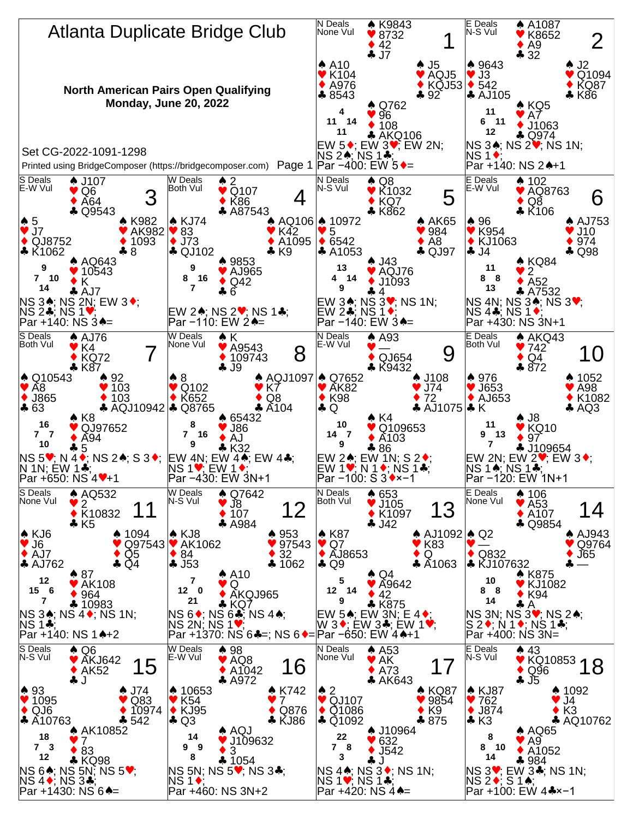